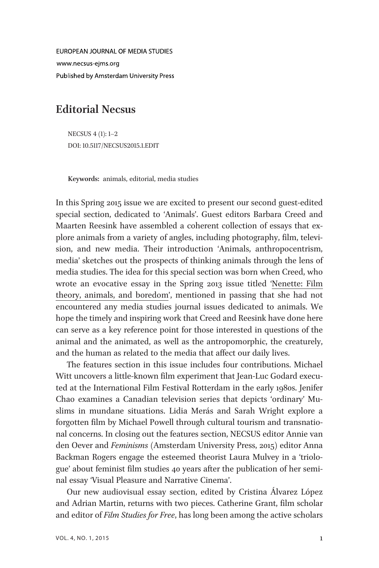EUROPEAN JOURNAL OF MEDIA STUDIES www.necsus-eims.org Published by Amsterdam University Press

## Editorial Necsus

NECSUS 4 (1): 1–2 DOI: 10.5117/NECSUS2015.1.EDIT

Keywords: animals, editorial, media studies

In this Spring 2015 issue we are excited to present our second guest-edited special section, dedicated to 'Animals'. Guest editors Barbara Creed and Maarten Reesink have assembled a coherent collection of essays that explore animals from a variety of angles, including photography, film, television, and new media. Their introduction 'Animals, anthropocentrism, media' sketches out the prospects of thinking animals through the lens of media studies. The idea for this special section was born when Creed, who wrote an evocative essay in the Spring 2013 issue titled 'Nenette: Film theory, animals, and boredom', mentioned in passing that she had not encountered any media studies journal issues dedicated to animals. We hope the timely and inspiring work that Creed and Reesink have done here can serve as a key reference point for those interested in questions of the animal and the animated, as well as the antropomorphic, the creaturely, and the human as related to the media that affect our daily lives.

The features section in this issue includes four contributions. Michael Witt uncovers a little-known film experiment that Jean-Luc Godard executed at the International Film Festival Rotterdam in the early 1980s. Jenifer Chao examines a Canadian television series that depicts 'ordinary' Muslims in mundane situations. Lidia Merás and Sarah Wright explore a forgotten film by Michael Powell through cultural tourism and transnational concerns. In closing out the features section, NECSUS editor Annie van den Oever and Feminisms (Amsterdam University Press, 2015) editor Anna Backman Rogers engage the esteemed theorist Laura Mulvey in a 'triologue' about feminist film studies 40 years after the publication of her seminal essay 'Visual Pleasure and Narrative Cinema'.

Our new audiovisual essay section, edited by Cristina Álvarez López and Adrian Martin, returns with two pieces. Catherine Grant, film scholar and editor of Film Studies for Free, has long been among the active scholars